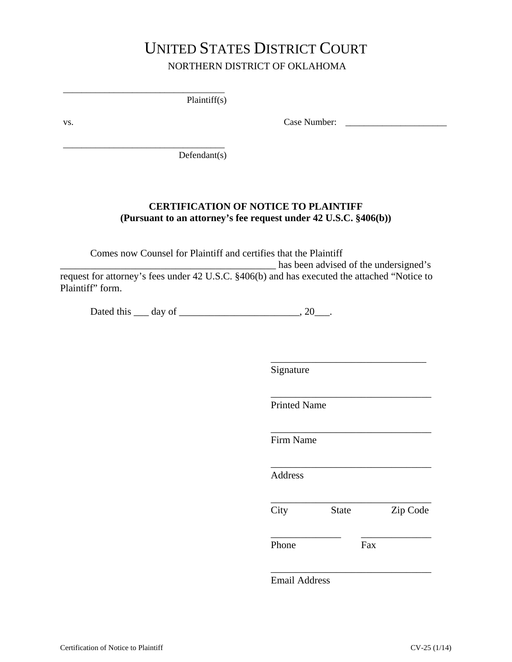# UNITED STATES DISTRICT COURT NORTHERN DISTRICT OF OKLAHOMA

Plaintiff(s)

\_\_\_\_\_\_\_\_\_\_\_\_\_\_\_\_\_\_\_\_\_\_\_\_\_\_\_\_\_\_\_\_\_\_\_

\_\_\_\_\_\_\_\_\_\_\_\_\_\_\_\_\_\_\_\_\_\_\_\_\_\_\_\_\_\_\_\_\_\_\_

vs. Case Number: \_\_\_\_\_\_\_\_\_\_\_\_\_\_\_\_\_\_\_\_\_\_

Defendant(s)

### **CERTIFICATION OF NOTICE TO PLAINTIFF (Pursuant to an attorney's fee request under 42 U.S.C. §406(b))**

Comes now Counsel for Plaintiff and certifies that the Plaintiff \_\_\_\_\_\_\_\_\_\_\_\_\_\_\_\_\_\_\_\_\_\_\_\_\_\_\_\_\_\_\_\_\_\_\_\_\_\_\_\_\_\_\_ has been advised of the undersigned's request for attorney's fees under 42 U.S.C. §406(b) and has executed the attached "Notice to Plaintiff" form.

Dated this <u>quare day of  $\frac{1}{2}$ </u>.

Signature

Printed Name

Firm Name

**Address** 

\_\_\_\_\_\_\_\_\_\_\_\_\_\_\_\_\_\_\_\_\_\_\_\_\_\_\_\_\_\_\_\_ City State Zip Code

\_\_\_\_\_\_\_\_\_\_\_\_\_\_ \_\_\_\_\_\_\_\_\_\_\_\_\_\_

\_\_\_\_\_\_\_\_\_\_\_\_\_\_\_\_\_\_\_\_\_\_\_\_\_\_\_\_\_\_\_\_

\_\_\_\_\_\_\_\_\_\_\_\_\_\_\_\_\_\_\_\_\_\_\_\_\_\_\_\_\_\_\_

\_\_\_\_\_\_\_\_\_\_\_\_\_\_\_\_\_\_\_\_\_\_\_\_\_\_\_\_\_\_\_\_

\_\_\_\_\_\_\_\_\_\_\_\_\_\_\_\_\_\_\_\_\_\_\_\_\_\_\_\_\_\_\_\_

\_\_\_\_\_\_\_\_\_\_\_\_\_\_\_\_\_\_\_\_\_\_\_\_\_\_\_\_\_\_\_\_

Phone Fax

Email Address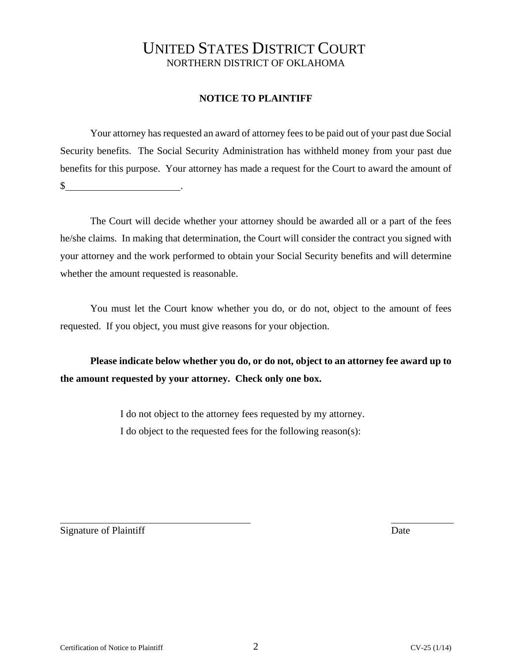## UNITED STATES DISTRICT COURT NORTHERN DISTRICT OF OKLAHOMA

### **NOTICE TO PLAINTIFF**

Your attorney has requested an award of attorney fees to be paid out of your past due Social Security benefits. The Social Security Administration has withheld money from your past due benefits for this purpose. Your attorney has made a request for the Court to award the amount of  $\mathbb{S}$  .

The Court will decide whether your attorney should be awarded all or a part of the fees he/she claims. In making that determination, the Court will consider the contract you signed with your attorney and the work performed to obtain your Social Security benefits and will determine whether the amount requested is reasonable.

You must let the Court know whether you do, or do not, object to the amount of fees requested. If you object, you must give reasons for your objection.

**Please indicate below whether you do, or do not, object to an attorney fee award up to the amount requested by your attorney. Check only one box.**

> I do not object to the attorney fees requested by my attorney. I do object to the requested fees for the following reason(s):

Signature of Plaintiff Date

 $\overline{a}$